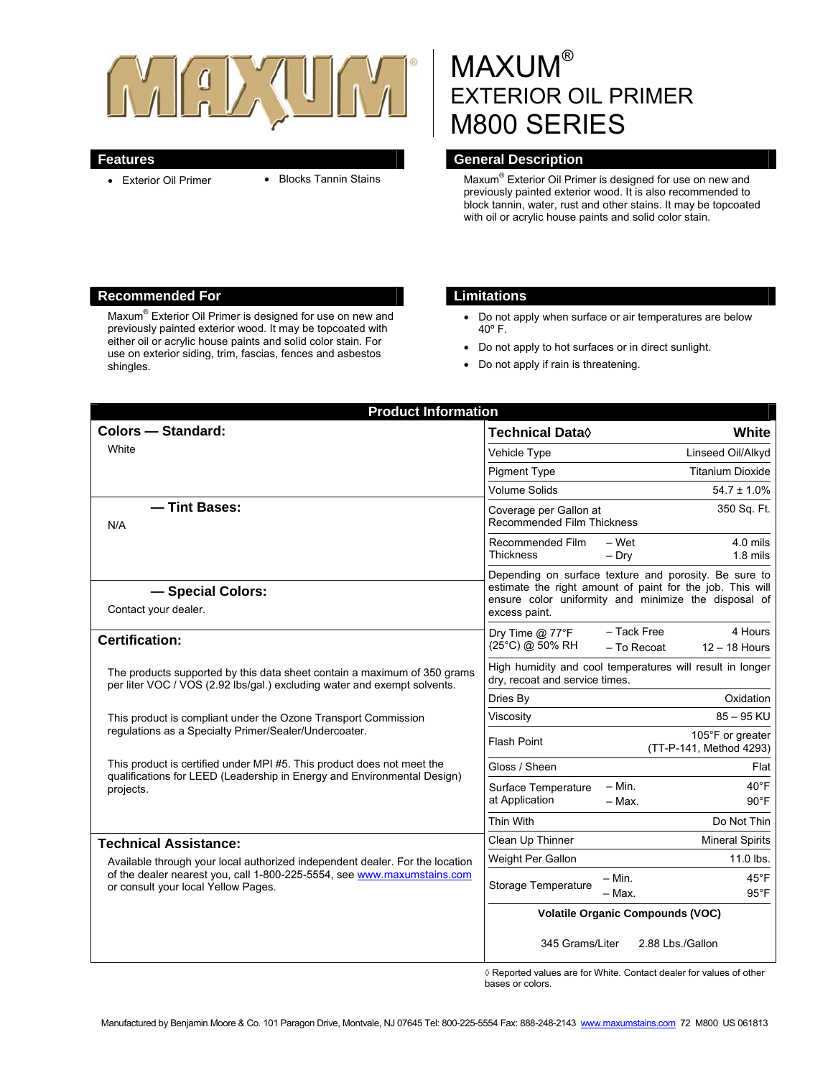

- 
- Exterior Oil Primer Blocks Tannin Stains

# MAXUM® EXTERIOR OIL PRIMER M800 SERIES

#### **Features General Description Contract Description Acts**

Maxum<sup>®</sup> Exterior Oil Primer is designed for use on new and previously painted exterior wood. It is also recommended to block tannin, water, rust and other stains. It may be topcoated with oil or acrylic house paints and solid color stain.

## **Recommended For Limitations**

Maxum® Exterior Oil Primer is designed for use on new and previously painted exterior wood. It may be topcoated with either oil or acrylic house paints and solid color stain. For use on exterior siding, trim, fascias, fences and asbestos shingles.

- Do not apply when surface or air temperatures are below 40º F.
- Do not apply to hot surfaces or in direct sunlight.
- Do not apply if rain is threatening.

| <b>Product Information</b>                                                                                                                                                                     |                                                                                                                                                                                             |
|------------------------------------------------------------------------------------------------------------------------------------------------------------------------------------------------|---------------------------------------------------------------------------------------------------------------------------------------------------------------------------------------------|
| <b>Colors - Standard:</b>                                                                                                                                                                      | <b>Technical Data</b> ♦<br>White                                                                                                                                                            |
| <b>White</b>                                                                                                                                                                                   | Linseed Oil/Alkyd<br>Vehicle Type                                                                                                                                                           |
|                                                                                                                                                                                                | <b>Titanium Dioxide</b><br><b>Pigment Type</b>                                                                                                                                              |
|                                                                                                                                                                                                | <b>Volume Solids</b><br>$54.7 \pm 1.0\%$                                                                                                                                                    |
| - Tint Bases:<br>N/A                                                                                                                                                                           | 350 Sq. Ft.<br>Coverage per Gallon at<br>Recommended Film Thickness                                                                                                                         |
|                                                                                                                                                                                                | $4.0$ mils<br>Recommended Film<br>– Wet<br><b>Thickness</b><br>$1.8$ mils<br>$-$ Dry                                                                                                        |
| - Special Colors:<br>Contact your dealer.                                                                                                                                                      | Depending on surface texture and porosity. Be sure to<br>estimate the right amount of paint for the job. This will<br>ensure color uniformity and minimize the disposal of<br>excess paint. |
| <b>Certification:</b>                                                                                                                                                                          | - Tack Free<br>4 Hours<br>Dry Time @ 77°F<br>(25°C) @ 50% RH<br>$-$ To Recoat<br>$12 - 18$ Hours                                                                                            |
| The products supported by this data sheet contain a maximum of 350 grams<br>per liter VOC / VOS (2.92 lbs/gal.) excluding water and exempt solvents.                                           | High humidity and cool temperatures will result in longer<br>dry, recoat and service times.                                                                                                 |
|                                                                                                                                                                                                | Dries By<br>Oxidation                                                                                                                                                                       |
| This product is compliant under the Ozone Transport Commission                                                                                                                                 | $85 - 95$ KU<br>Viscosity                                                                                                                                                                   |
| regulations as a Specialty Primer/Sealer/Undercoater.                                                                                                                                          | 105°F or greater<br>Flash Point<br>(TT-P-141, Method 4293)                                                                                                                                  |
| This product is certified under MPI #5. This product does not meet the<br>qualifications for LEED (Leadership in Energy and Environmental Design)                                              | Gloss / Sheen<br>Flat                                                                                                                                                                       |
| projects.                                                                                                                                                                                      | $- Min.$<br>$40^{\circ}$ F<br>Surface Temperature<br>at Application<br>$90^{\circ}$ F<br>$-$ Max.                                                                                           |
|                                                                                                                                                                                                | Thin With<br>Do Not Thin                                                                                                                                                                    |
| <b>Technical Assistance:</b>                                                                                                                                                                   | Clean Up Thinner<br><b>Mineral Spirits</b>                                                                                                                                                  |
| Available through your local authorized independent dealer. For the location<br>of the dealer nearest you, call 1-800-225-5554, see www.maxumstains.com<br>or consult your local Yellow Pages. | Weight Per Gallon<br>11.0 lbs.                                                                                                                                                              |
|                                                                                                                                                                                                | $-$ Min.<br>$45^{\circ}$ F<br>Storage Temperature<br>- Max.<br>$95^{\circ}$ F                                                                                                               |
|                                                                                                                                                                                                | <b>Volatile Organic Compounds (VOC)</b>                                                                                                                                                     |
|                                                                                                                                                                                                | 345 Grams/Liter<br>2.88 Lbs./Gallon                                                                                                                                                         |

◊ Reported values are for White. Contact dealer for values of other bases or colors.